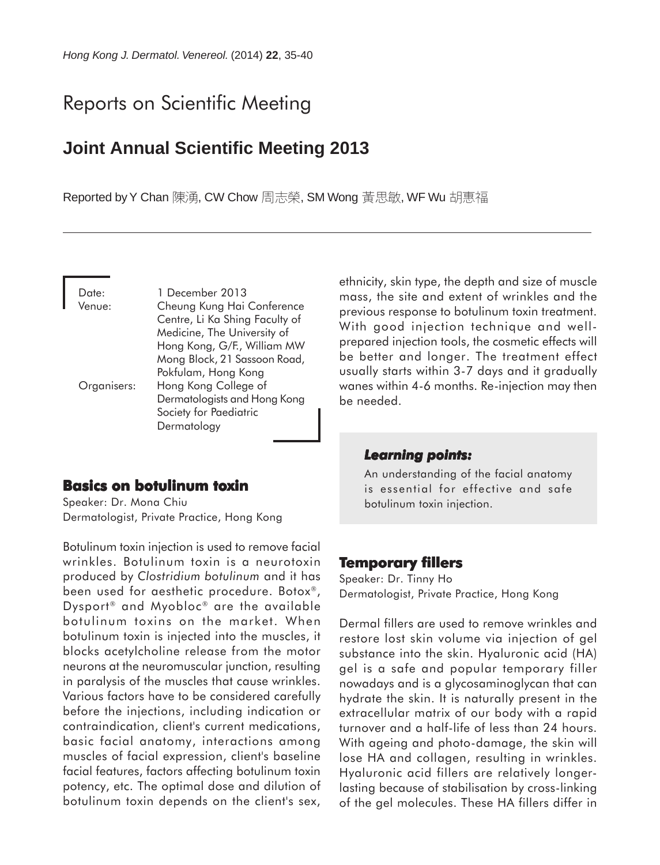# Reports on Scientific Meeting

## **Joint Annual Scientific Meeting 2013**

Reported by Y Chan 陳湧, CW Chow 周志榮, SM Wong 黃思敏, WF Wu 胡惠福

Date: 1 December 2013 Venue: Cheung Kung Hai Conference Centre, Li Ka Shing Faculty of Medicine, The University of Hong Kong, G/F., William MW Mong Block, 21 Sassoon Road, Pokfulam, Hong Kong Organisers: Hong Kong College of Dermatologists and Hong Kong Society for Paediatric Dermatology

#### **Basics on botulinum toxin**

Speaker: Dr. Mona Chiu Dermatologist, Private Practice, Hong Kong

Botulinum toxin injection is used to remove facial wrinkles. Botulinum toxin is a neurotoxin produced by *Clostridium botulinum* and it has been used for aesthetic procedure. Botox<sup>®</sup>, Dysport<sup>®</sup> and Myobloc<sup>®</sup> are the available botulinum toxins on the market. When botulinum toxin is injected into the muscles, it blocks acetylcholine release from the motor neurons at the neuromuscular junction, resulting in paralysis of the muscles that cause wrinkles. Various factors have to be considered carefully before the injections, including indication or contraindication, client's current medications, basic facial anatomy, interactions among muscles of facial expression, client's baseline facial features, factors affecting botulinum toxin potency, etc. The optimal dose and dilution of botulinum toxin depends on the client's sex,

ethnicity, skin type, the depth and size of muscle mass, the site and extent of wrinkles and the previous response to botulinum toxin treatment. With good injection technique and wellprepared injection tools, the cosmetic effects will be better and longer. The treatment effect usually starts within 3-7 days and it gradually wanes within 4-6 months. Re-injection may then be needed.

#### *Learning points: Learning points:*

An understanding of the facial anatomy is essential for effective and safe botulinum toxin injection.

## **Temporary fillers**

Speaker: Dr. Tinny Ho Dermatologist, Private Practice, Hong Kong

Dermal fillers are used to remove wrinkles and restore lost skin volume via injection of gel substance into the skin. Hyaluronic acid (HA) gel is a safe and popular temporary filler nowadays and is a glycosaminoglycan that can hydrate the skin. It is naturally present in the extracellular matrix of our body with a rapid turnover and a half-life of less than 24 hours. With ageing and photo-damage, the skin will lose HA and collagen, resulting in wrinkles. Hyaluronic acid fillers are relatively longerlasting because of stabilisation by cross-linking of the gel molecules. These HA fillers differ in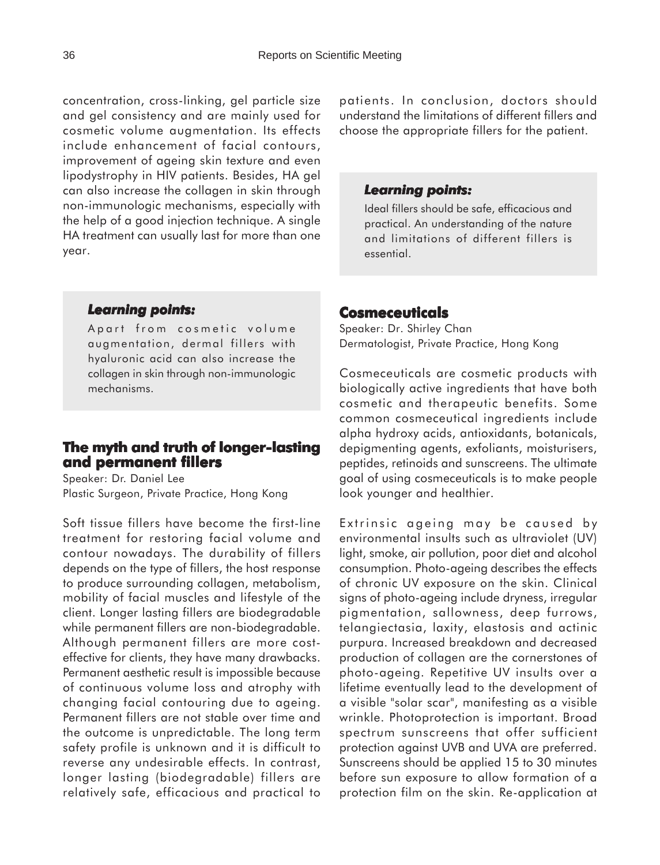concentration, cross-linking, gel particle size and gel consistency and are mainly used for cosmetic volume augmentation. Its effects include enhancement of facial contours, improvement of ageing skin texture and even lipodystrophy in HIV patients. Besides, HA gel can also increase the collagen in skin through non-immunologic mechanisms, especially with the help of a good injection technique. A single HA treatment can usually last for more than one year.

#### *Learning points: Learning*

Apart from cosmetic volume augmentation, dermal fillers with hyaluronic acid can also increase the collagen in skin through non-immunologic mechanisms.

## **The myth and truth of longer-lasting and permanent fillers**

Speaker: Dr. Daniel Lee Plastic Surgeon, Private Practice, Hong Kong

Soft tissue fillers have become the first-line treatment for restoring facial volume and contour nowadays. The durability of fillers depends on the type of fillers, the host response to produce surrounding collagen, metabolism, mobility of facial muscles and lifestyle of the client. Longer lasting fillers are biodegradable while permanent fillers are non-biodegradable. Although permanent fillers are more costeffective for clients, they have many drawbacks. Permanent aesthetic result is impossible because of continuous volume loss and atrophy with changing facial contouring due to ageing. Permanent fillers are not stable over time and the outcome is unpredictable. The long term safety profile is unknown and it is difficult to reverse any undesirable effects. In contrast, longer lasting (biodegradable) fillers are relatively safe, efficacious and practical to

patients. In conclusion, doctors should understand the limitations of different fillers and choose the appropriate fillers for the patient.

#### *Learning points: Learning points:*

Ideal fillers should be safe, efficacious and practical. An understanding of the nature and limitations of different fillers is essential.

#### **Cosmeceuticals**

Speaker: Dr. Shirley Chan Dermatologist, Private Practice, Hong Kong

Cosmeceuticals are cosmetic products with biologically active ingredients that have both cosmetic and therapeutic benefits. Some common cosmeceutical ingredients include alpha hydroxy acids, antioxidants, botanicals, depigmenting agents, exfoliants, moisturisers, peptides, retinoids and sunscreens. The ultimate goal of using cosmeceuticals is to make people look younger and healthier.

Extrinsic ageing may be caused by environmental insults such as ultraviolet (UV) light, smoke, air pollution, poor diet and alcohol consumption. Photo-ageing describes the effects of chronic UV exposure on the skin. Clinical signs of photo-ageing include dryness, irregular pigmentation, sallowness, deep furrows, telangiectasia, laxity, elastosis and actinic purpura. Increased breakdown and decreased production of collagen are the cornerstones of photo-ageing. Repetitive UV insults over a lifetime eventually lead to the development of a visible "solar scar", manifesting as a visible wrinkle. Photoprotection is important. Broad spectrum sunscreens that offer sufficient protection against UVB and UVA are preferred. Sunscreens should be applied 15 to 30 minutes before sun exposure to allow formation of a protection film on the skin. Re-application at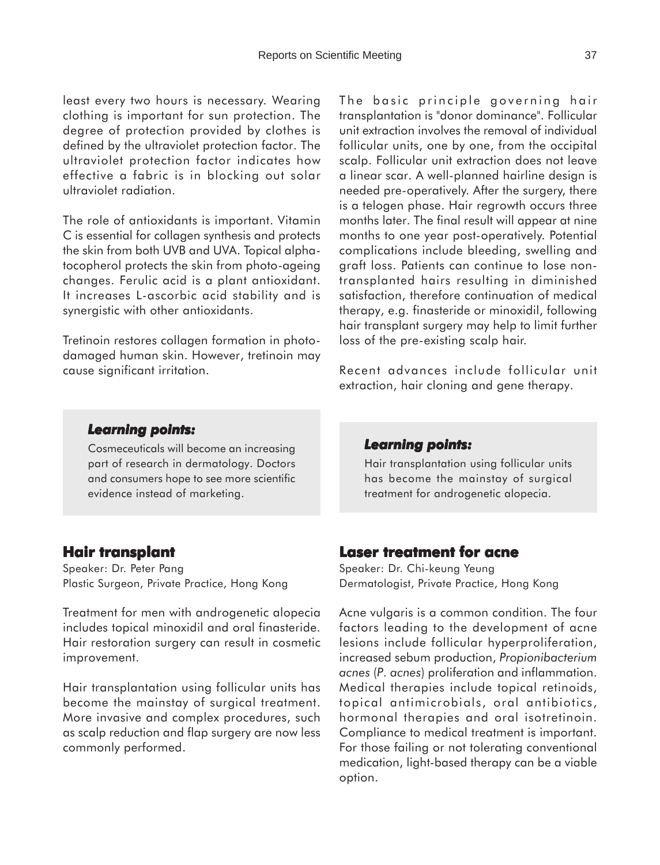least every two hours is necessary. Wearing clothing is important for sun protection. The degree of protection provided by clothes is defined by the ultraviolet protection factor. The ultraviolet protection factor indicates how effective a fabric is in blocking out solar ultraviolet radiation.

The role of antioxidants is important. Vitamin C is essential for collagen synthesis and protects the skin from both UVB and UVA. Topical alphatocopherol protects the skin from photo-ageing changes. Ferulic acid is a plant antioxidant. It increases L-ascorbic acid stability and is synergistic with other antioxidants.

Tretinoin restores collagen formation in photodamaged human skin. However, tretinoin may cause significant irritation.

The basic principle governing hair transplantation is "donor dominance". Follicular unit extraction involves the removal of individual follicular units, one by one, from the occipital scalp. Follicular unit extraction does not leave a linear scar. A well-planned hairline design is needed pre-operatively. After the surgery, there is a telogen phase. Hair regrowth occurs three months later. The final result will appear at nine months to one year post-operatively. Potential complications include bleeding, swelling and graft loss. Patients can continue to lose nontransplanted hairs resulting in diminished satisfaction, therefore continuation of medical therapy, e.g. finasteride or minoxidil, following hair transplant surgery may help to limit further loss of the pre-existing scalp hair.

Recent advances include follicular unit extraction, hair cloning and gene therapy.

#### *Learning points: Learning*

Cosmeceuticals will become an increasing part of research in dermatology. Doctors and consumers hope to see more scientific evidence instead of marketing.

#### *Learning points: Learning points:*

Hair transplantation using follicular units has become the mainstay of surgical treatment for androgenetic alopecia.

#### **Hair transplant Hair**

Speaker: Dr. Peter Pang Plastic Surgeon, Private Practice, Hong Kong

Treatment for men with androgenetic alopecia includes topical minoxidil and oral finasteride. Hair restoration surgery can result in cosmetic improvement.

Hair transplantation using follicular units has become the mainstay of surgical treatment. More invasive and complex procedures, such as scalp reduction and flap surgery are now less commonly performed.

## **Laser treatment for acne**

Speaker: Dr. Chi-keung Yeung Dermatologist, Private Practice, Hong Kong

Acne vulgaris is a common condition. The four factors leading to the development of acne lesions include follicular hyperproliferation, increased sebum production, *Propionibacterium acnes* (*P. acnes*) proliferation and inflammation. Medical therapies include topical retinoids, topical antimicrobials, oral antibiotics, hormonal therapies and oral isotretinoin. Compliance to medical treatment is important. For those failing or not tolerating conventional medication, light-based therapy can be a viable option.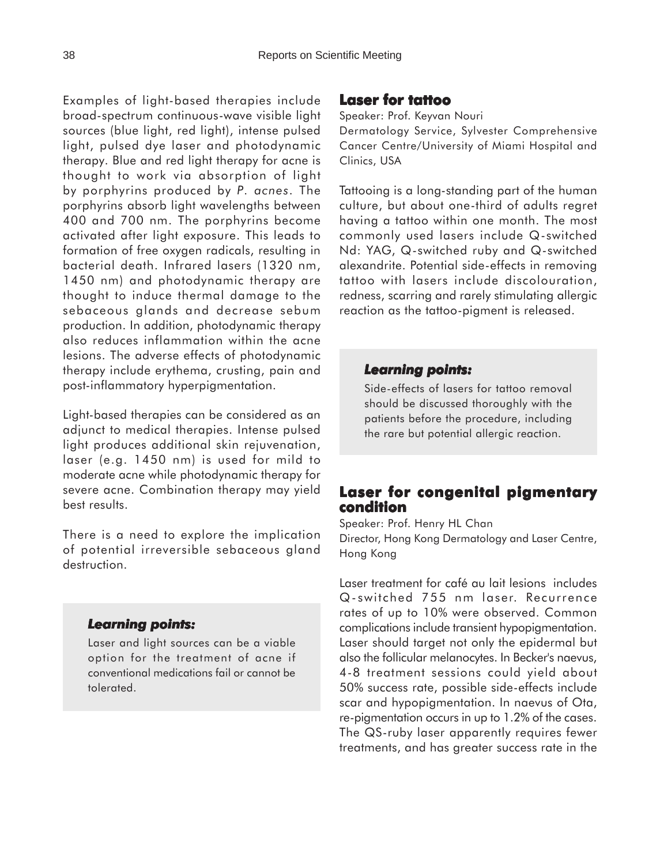Examples of light-based therapies include broad-spectrum continuous-wave visible light sources (blue light, red light), intense pulsed light, pulsed dye laser and photodynamic therapy. Blue and red light therapy for acne is thought to work via absorption of light by porphyrins produced by *P. acnes*. The porphyrins absorb light wavelengths between 400 and 700 nm. The porphyrins become activated after light exposure. This leads to formation of free oxygen radicals, resulting in bacterial death. Infrared lasers (1320 nm, 1450 nm) and photodynamic therapy are thought to induce thermal damage to the sebaceous glands and decrease sebum production. In addition, photodynamic therapy also reduces inflammation within the acne lesions. The adverse effects of photodynamic therapy include erythema, crusting, pain and post-inflammatory hyperpigmentation.

Light-based therapies can be considered as an adjunct to medical therapies. Intense pulsed light produces additional skin rejuvenation, laser (e.g. 1450 nm) is used for mild to moderate acne while photodynamic therapy for severe acne. Combination therapy may yield best results.

There is a need to explore the implication of potential irreversible sebaceous gland destruction.

#### *Learning points: Learning*

Laser and light sources can be a viable option for the treatment of acne if conventional medications fail or cannot be tolerated.

#### **Laser for tattoo**

Speaker: Prof. Keyvan Nouri

Dermatology Service, Sylvester Comprehensive Cancer Centre/University of Miami Hospital and Clinics, USA

Tattooing is a long-standing part of the human culture, but about one-third of adults regret having a tattoo within one month. The most commonly used lasers include Q-switched Nd: YAG, Q-switched ruby and Q-switched alexandrite. Potential side-effects in removing tattoo with lasers include discolouration, redness, scarring and rarely stimulating allergic reaction as the tattoo-pigment is released.

#### *Learning points: Learning points:*

Side-effects of lasers for tattoo removal should be discussed thoroughly with the patients before the procedure, including the rare but potential allergic reaction.

## **Laser for congenital pigmentary condition**

Speaker: Prof. Henry HL Chan

Director, Hong Kong Dermatology and Laser Centre, Hong Kong

Laser treatment for café au lait lesions includes Q-switched 755 nm laser. Recurrence rates of up to 10% were observed. Common complications include transient hypopigmentation. Laser should target not only the epidermal but also the follicular melanocytes. In Becker's naevus, 4-8 treatment sessions could yield about 50% success rate, possible side-effects include scar and hypopigmentation. In naevus of Ota, re-pigmentation occurs in up to 1.2% of the cases. The QS-ruby laser apparently requires fewer treatments, and has greater success rate in the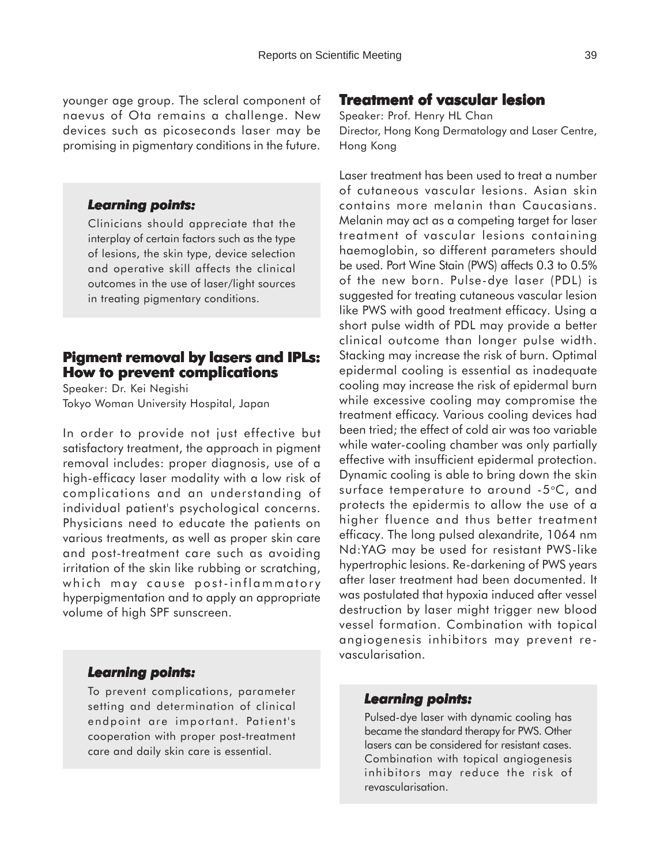younger age group. The scleral component of naevus of Ota remains a challenge. New devices such as picoseconds laser may be promising in pigmentary conditions in the future.

#### *Learning points: Learning*

Clinicians should appreciate that the interplay of certain factors such as the type of lesions, the skin type, device selection and operative skill affects the clinical outcomes in the use of laser/light sources in treating pigmentary conditions.

## **Pigment removal by lasers and IPLs: How to prevent complications**

Speaker: Dr. Kei Negishi Tokyo Woman University Hospital, Japan

In order to provide not just effective but satisfactory treatment, the approach in pigment removal includes: proper diagnosis, use of a high-efficacy laser modality with a low risk of complications and an understanding of individual patient's psychological concerns. Physicians need to educate the patients on various treatments, as well as proper skin care and post-treatment care such as avoiding irritation of the skin like rubbing or scratching, which may cause post-inflammatory hyperpigmentation and to apply an appropriate volume of high SPF sunscreen.

#### *Learning points: Learning*

To prevent complications, parameter setting and determination of clinical endpoint are important. Patient's cooperation with proper post-treatment care and daily skin care is essential.

## **Treatment of vascular lesion**

Speaker: Prof. Henry HL Chan Director, Hong Kong Dermatology and Laser Centre, Hong Kong

Laser treatment has been used to treat a number of cutaneous vascular lesions. Asian skin contains more melanin than Caucasians. Melanin may act as a competing target for laser treatment of vascular lesions containing haemoglobin, so different parameters should be used. Port Wine Stain (PWS) affects 0.3 to 0.5% of the new born. Pulse-dye laser (PDL) is suggested for treating cutaneous vascular lesion like PWS with good treatment efficacy. Using a short pulse width of PDL may provide a better clinical outcome than longer pulse width. Stacking may increase the risk of burn. Optimal epidermal cooling is essential as inadequate cooling may increase the risk of epidermal burn while excessive cooling may compromise the treatment efficacy. Various cooling devices had been tried; the effect of cold air was too variable while water-cooling chamber was only partially effective with insufficient epidermal protection. Dynamic cooling is able to bring down the skin surface temperature to around -5°C, and protects the epidermis to allow the use of a higher fluence and thus better treatment efficacy. The long pulsed alexandrite, 1064 nm Nd:YAG may be used for resistant PWS-like hypertrophic lesions. Re-darkening of PWS years after laser treatment had been documented. It was postulated that hypoxia induced after vessel destruction by laser might trigger new blood vessel formation. Combination with topical angiogenesis inhibitors may prevent revascularisation.

#### *Learning points: Learning points:*

Pulsed-dye laser with dynamic cooling has became the standard therapy for PWS. Other lasers can be considered for resistant cases. Combination with topical angiogenesis inhibitors may reduce the risk of revascularisation.